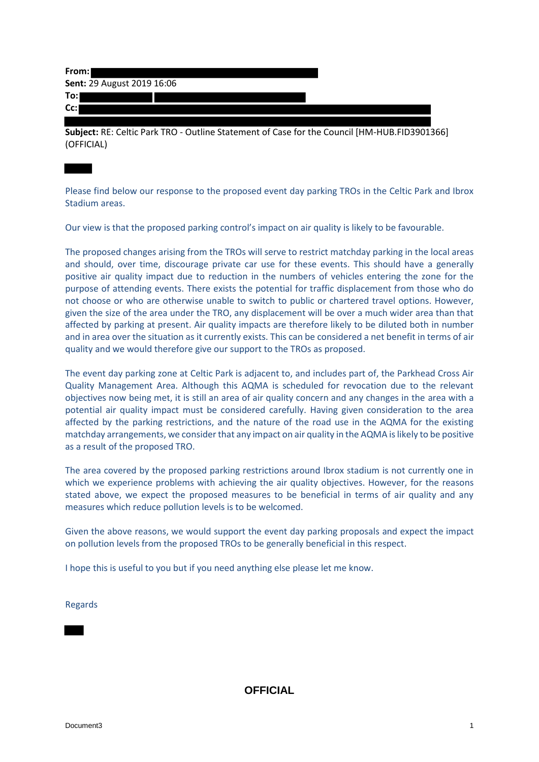| From:                      |  |
|----------------------------|--|
| Sent: 29 August 2019 16:06 |  |
| To:l                       |  |
| $Cc$ :                     |  |
|                            |  |

**Subject:** RE: Celtic Park TRO - Outline Statement of Case for the Council [HM-HUB.FID3901366] (OFFICIAL)

Please find below our response to the proposed event day parking TROs in the Celtic Park and Ibrox Stadium areas.

Our view is that the proposed parking control's impact on air quality is likely to be favourable.

The proposed changes arising from the TROs will serve to restrict matchday parking in the local areas and should, over time, discourage private car use for these events. This should have a generally positive air quality impact due to reduction in the numbers of vehicles entering the zone for the purpose of attending events. There exists the potential for traffic displacement from those who do not choose or who are otherwise unable to switch to public or chartered travel options. However, given the size of the area under the TRO, any displacement will be over a much wider area than that affected by parking at present. Air quality impacts are therefore likely to be diluted both in number and in area over the situation as it currently exists. This can be considered a net benefit in terms of air quality and we would therefore give our support to the TROs as proposed.

The event day parking zone at Celtic Park is adjacent to, and includes part of, the Parkhead Cross Air Quality Management Area. Although this AQMA is scheduled for revocation due to the relevant objectives now being met, it is still an area of air quality concern and any changes in the area with a potential air quality impact must be considered carefully. Having given consideration to the area affected by the parking restrictions, and the nature of the road use in the AQMA for the existing matchday arrangements, we consider that any impact on air quality in the AQMA is likely to be positive as a result of the proposed TRO.

The area covered by the proposed parking restrictions around Ibrox stadium is not currently one in which we experience problems with achieving the air quality objectives. However, for the reasons stated above, we expect the proposed measures to be beneficial in terms of air quality and any measures which reduce pollution levels is to be welcomed.

Given the above reasons, we would support the event day parking proposals and expect the impact on pollution levels from the proposed TROs to be generally beneficial in this respect.

I hope this is useful to you but if you need anything else please let me know.

Regards

**OFFICIAL**